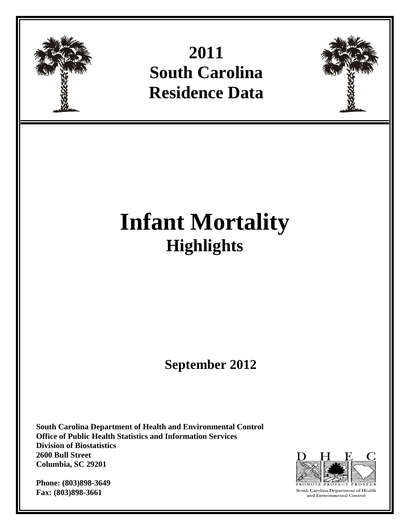

## **2011 South Carolina Residence Data**



# **Infant Mortality Highlights**

## **September 2012**

**South Carolina Department of Health and Environmental Control Office of Public Health Statistics and Information Services Division of Biostatistics 2600 Bull Street Columbia, SC 29201** 



South Carolina Department of Health and Environmental Control

**Phone: (803)898-3649 Fax: (803)898-3661**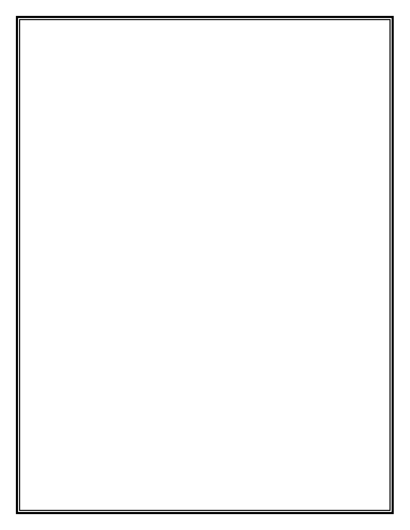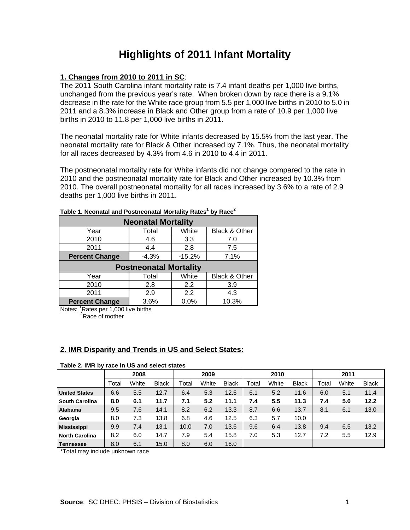### **Highlights of 2011 Infant Mortality**

#### **1. Changes from 2010 to 2011 in SC**:

The 2011 South Carolina infant mortality rate is 7.4 infant deaths per 1,000 live births, unchanged from the previous year's rate. When broken down by race there is a 9.1% decrease in the rate for the White race group from 5.5 per 1,000 live births in 2010 to 5.0 in 2011 and a 8.3% increase in Black and Other group from a rate of 10.9 per 1,000 live births in 2010 to 11.8 per 1,000 live births in 2011.

The neonatal mortality rate for White infants decreased by 15.5% from the last year. The neonatal mortality rate for Black & Other increased by 7.1%. Thus, the neonatal mortality for all races decreased by 4.3% from 4.6 in 2010 to 4.4 in 2011.

The postneonatal mortality rate for White infants did not change compared to the rate in 2010 and the postneonatal mortality rate for Black and Other increased by 10.3% from 2010. The overall postneonatal mortality for all races increased by 3.6% to a rate of 2.9 deaths per 1,000 live births in 2011.

| <b>Neonatal Mortality</b>     |         |          |               |  |  |  |  |  |  |  |
|-------------------------------|---------|----------|---------------|--|--|--|--|--|--|--|
| Year                          | Total   | White    | Black & Other |  |  |  |  |  |  |  |
| 2010                          | 4.6     | 3.3      | 7.0           |  |  |  |  |  |  |  |
| 2011                          | 4.4     | 2.8      | 7.5           |  |  |  |  |  |  |  |
| <b>Percent Change</b>         | $-4.3%$ | $-15.2%$ | 7.1%          |  |  |  |  |  |  |  |
| <b>Postneonatal Mortality</b> |         |          |               |  |  |  |  |  |  |  |
| Year                          | Total   | White    | Black & Other |  |  |  |  |  |  |  |
| 2010                          | 2.8     | 2.2      | 3.9           |  |  |  |  |  |  |  |
| 2011                          | 2.9     | 2.2      | 4.3           |  |  |  |  |  |  |  |
| <b>Percent Change</b>         | 3.6%    | 0.0%     | 10.3%         |  |  |  |  |  |  |  |

#### Table 1. Neonatal and Postneonatal Mortality Rates<sup>1</sup> by Race<sup>2</sup>

Notes: <sup>1</sup>Rates per 1,000 live births <sup>2</sup>Race of mother

#### **2. IMR Disparity and Trends in US and Select States:**

| Table 2. IMR by race in US and select states |  |  |  |  |
|----------------------------------------------|--|--|--|--|
|                                              |  |  |  |  |

|                       |       | 2008  |              |       | 2009  |              |       | 2010  |              |       | 2011  |              |
|-----------------------|-------|-------|--------------|-------|-------|--------------|-------|-------|--------------|-------|-------|--------------|
|                       | Total | White | <b>Black</b> | Total | White | <b>Black</b> | Total | White | <b>Black</b> | Total | White | <b>Black</b> |
| <b>United States</b>  | 6.6   | 5.5   | 12.7         | 6.4   | 5.3   | 12.6         | 6.1   | 5.2   | 11.6         | 6.0   | 5.1   | 11.4         |
| <b>South Carolina</b> | 8.0   | 6.1   | 11.7         | 7.1   | 5.2   | 11.1         | 7.4   | 5.5   | 11.3         | 7.4   | 5.0   | 12.2         |
| Alabama               | 9.5   | 7.6   | 14.1         | 8.2   | 6.2   | 13.3         | 8.7   | 6.6   | 13.7         | 8.1   | 6.1   | 13.0         |
| Georgia               | 8.0   | 7.3   | 13.8         | 6.8   | 4.6   | 12.5         | 6.3   | 5.7   | 10.0         |       |       |              |
| <b>Mississippi</b>    | 9.9   | 7.4   | 13.1         | 10.0  | 7.0   | 13.6         | 9.6   | 6.4   | 13.8         | 9.4   | 6.5   | 13.2         |
| North Carolina        | 8.2   | 6.0   | 14.7         | 7.9   | 5.4   | 15.8         | 7.0   | 5.3   | 12.7         | 7.2   | 5.5   | 12.9         |
| <b>Tennessee</b>      | 8.0   | 6.1   | 15.0         | 8.0   | 6.0   | 16.0         |       |       |              |       |       |              |

\*Total may include unknown race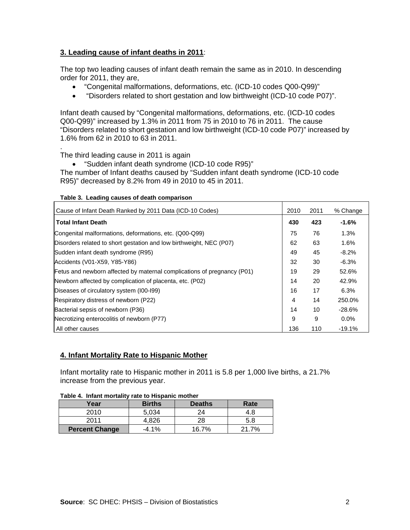#### **3. Leading cause of infant deaths in 2011**:

The top two leading causes of infant death remain the same as in 2010. In descending order for 2011, they are,

- "Congenital malformations, deformations, etc. (ICD-10 codes Q00-Q99)"
- "Disorders related to short gestation and low birthweight (ICD-10 code P07)".

Infant death caused by "Congenital malformations, deformations, etc. (ICD-10 codes Q00-Q99)" increased by 1.3% in 2011 from 75 in 2010 to 76 in 2011. The cause "Disorders related to short gestation and low birthweight (ICD-10 code P07)" increased by 1.6% from 62 in 2010 to 63 in 2011.

. The third leading cause in 2011 is again

"Sudden infant death syndrome (ICD-10 code R95)"

The number of Infant deaths caused by "Sudden infant death syndrome (ICD-10 code R95)" decreased by 8.2% from 49 in 2010 to 45 in 2011.

| Cause of Infant Death Ranked by 2011 Data (ICD-10 Codes)                | 2010 | 2011 | % Change |
|-------------------------------------------------------------------------|------|------|----------|
| <b>Total Infant Death</b>                                               | 430  | 423  | $-1.6\%$ |
| Congenital malformations, deformations, etc. (Q00-Q99)                  | 75   | 76   | 1.3%     |
| Disorders related to short gestation and low birthweight, NEC (P07)     | 62   | 63   | 1.6%     |
| Sudden infant death syndrome (R95)                                      | 49   | 45   | $-8.2%$  |
| Accidents (V01-X59, Y85-Y86)                                            | 32   | 30   | $-6.3%$  |
| Fetus and newborn affected by maternal complications of pregnancy (P01) | 19   | 29   | 52.6%    |
| Newborn affected by complication of placenta, etc. (P02)                | 14   | 20   | 42.9%    |
| Diseases of circulatory system (I00-I99)                                | 16   | 17   | 6.3%     |
| Respiratory distress of newborn (P22)                                   | 4    | 14   | 250.0%   |
| Bacterial sepsis of newborn (P36)                                       | 14   | 10   | $-28.6%$ |
| Necrotizing enterocolitis of newborn (P77)                              | 9    | 9    | $0.0\%$  |
| All other causes                                                        | 136  | 110  | $-19.1%$ |

#### **4. Infant Mortality Rate to Hispanic Mother**

Infant mortality rate to Hispanic mother in 2011 is 5.8 per 1,000 live births, a 21.7% increase from the previous year.

#### **Table 4. Infant mortality rate to Hispanic mother**

| Year                  | <b>Births</b> | <b>Deaths</b> | Rate  |
|-----------------------|---------------|---------------|-------|
| 2010                  | 5.034         | 24            | 4.8   |
| 2011                  | 4.826         | 28            | 5.8   |
| <b>Percent Change</b> | $-4.1%$       | 16.7%         | 21.7% |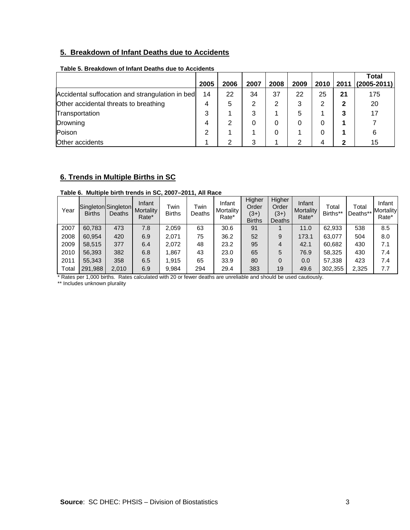#### **5. Breakdown of Infant Deaths due to Accidents**

|                                                 | 2005 | 2006 | 2007 | 2008 | 2009 | 2010 | 2011 | <b>Total</b><br>$(2005 - 2011)$ |
|-------------------------------------------------|------|------|------|------|------|------|------|---------------------------------|
| Accidental suffocation and strangulation in bed | 14   | 22   | 34   | 37   | 22   | 25   | 21   | 175                             |
| Other accidental threats to breathing           | 4    | 5    | 2    | 2    | 3    | 2    | 2    | 20                              |
| Transportation                                  | 3    |      | 3    |      | 5    |      | 3    | 17                              |
| Drowning                                        | 4    |      | 0    | 0    | 0    |      |      |                                 |
| Poison                                          | 2    |      |      | 0    |      |      |      | 6                               |
| Other accidents                                 |      | 2    | 3    |      | 2    | 4    | 2    | 15                              |

#### **Table 5. Breakdown of Infant Deaths due to Accidents**

#### **6. Trends in Multiple Births in SC**

#### **Table 6. Multiple birth trends in SC, 2007–2011, All Race**

| Year  | <b>Births</b> | Singleton Singleton<br>Deaths | Infant<br>Mortality<br>Rate* | Twin<br><b>Births</b> | Twin<br>Deaths | Infant<br>Mortality<br>Rate* | Higher<br>Order<br>(3+)<br><b>Births</b> | Higher<br>Order<br>$(3+)$<br><b>Deaths</b> | Infant<br>Mortality<br>Rate* | Total<br>Births** | Total<br>Deaths** | Infant<br><b>Mortality</b><br>Rate* |
|-------|---------------|-------------------------------|------------------------------|-----------------------|----------------|------------------------------|------------------------------------------|--------------------------------------------|------------------------------|-------------------|-------------------|-------------------------------------|
| 2007  | 60,783        | 473                           | 7.8                          | 2,059                 | 63             | 30.6                         | 91                                       |                                            | 11.0                         | 62.933            | 538               | 8.5                                 |
| 2008  | 60,954        | 420                           | 6.9                          | 2.071                 | 75             | 36.2                         | 52                                       | 9                                          | 173.1                        | 63.077            | 504               | 8.0                                 |
| 2009  | 58,515        | 377                           | 6.4                          | 2.072                 | 48             | 23.2                         | 95                                       | 4                                          | 42.1                         | 60.682            | 430               | 7.1                                 |
| 2010  | 56,393        | 382                           | 6.8                          | ,867                  | 43             | 23.0                         | 65                                       | 5                                          | 76.9                         | 58.325            | 430               | 7.4                                 |
| 2011  | 55,343        | 358                           | 6.5                          | .915                  | 65             | 33.9                         | 80                                       |                                            | 0.0                          | 57,338            | 423               | 7.4                                 |
| Total | 291,988       | 2,010                         | 6.9                          | 9,984                 | 294            | 29.4                         | 383                                      | 19                                         | 49.6                         | 302,355           | 2,325             | 7.7                                 |

\* Rates per 1,000 births. Rates calculated with 20 or fewer deaths are unreliable and should be used cautiously.

\*\* Includes unknown plurality